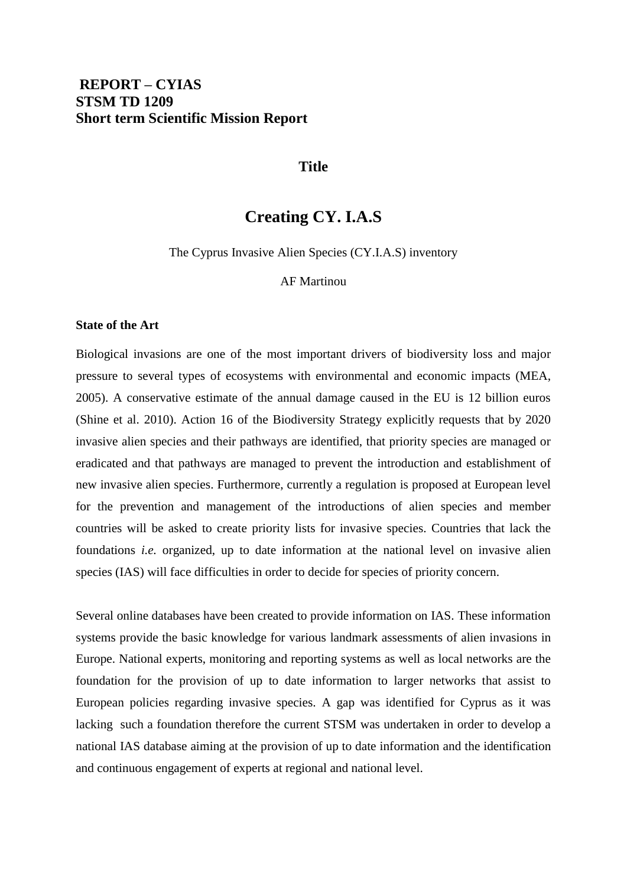#### **Title**

## **Creating CY. I.A.S**

The Cyprus Invasive Alien Species (CY.I.A.S) inventory

#### AF Martinou

#### **State of the Art**

Biological invasions are one of the most important drivers of biodiversity loss and major pressure to several types of ecosystems with environmental and economic impacts (MEA, 2005). A conservative estimate of the annual damage caused in the EU is 12 billion euros (Shine et al. 2010). Action 16 of the Biodiversity Strategy explicitly requests that by 2020 invasive alien species and their pathways are identified, that priority species are managed or eradicated and that pathways are managed to prevent the introduction and establishment of new invasive alien species. Furthermore, currently a regulation is proposed at European level for the prevention and management of the introductions of alien species and member countries will be asked to create priority lists for invasive species. Countries that lack the foundations *i.e.* organized, up to date information at the national level on invasive alien species (IAS) will face difficulties in order to decide for species of priority concern.

Several online databases have been created to provide information on IAS. These information systems provide the basic knowledge for various landmark assessments of alien invasions in Europe. National experts, monitoring and reporting systems as well as local networks are the foundation for the provision of up to date information to larger networks that assist to European policies regarding invasive species. A gap was identified for Cyprus as it was lacking such a foundation therefore the current STSM was undertaken in order to develop a national IAS database aiming at the provision of up to date information and the identification and continuous engagement of experts at regional and national level.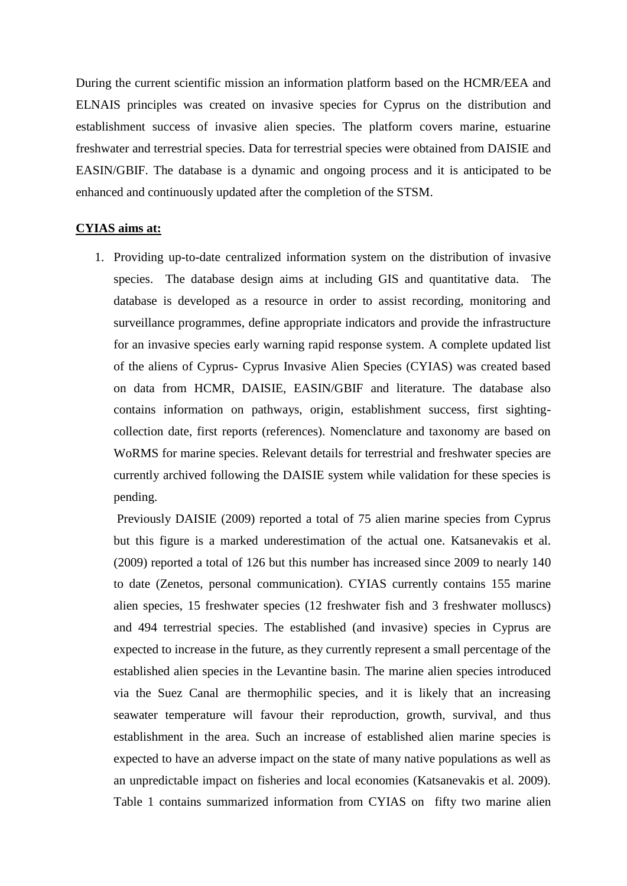During the current scientific mission an information platform based on the HCMR/EEA and ELNAIS principles was created on invasive species for Cyprus on the distribution and establishment success of invasive alien species. The platform covers marine, estuarine freshwater and terrestrial species. Data for terrestrial species were obtained from DAISIE and EASIN/GBIF. The database is a dynamic and ongoing process and it is anticipated to be enhanced and continuously updated after the completion of the STSM.

#### **CYIAS aims at:**

1. Providing up-to-date centralized information system on the distribution of invasive species. The database design aims at including GIS and quantitative data. The database is developed as a resource in order to assist recording, monitoring and surveillance programmes, define appropriate indicators and provide the infrastructure for an invasive species early warning rapid response system. A complete updated list of the aliens of Cyprus- Cyprus Invasive Alien Species (CYIAS) was created based on data from HCMR, DAISIE, EASIN/GBIF and literature. The database also contains information on pathways, origin, establishment success, first sightingcollection date, first reports (references). Nomenclature and taxonomy are based on WoRMS for marine species. Relevant details for terrestrial and freshwater species are currently archived following the DAISIE system while validation for these species is pending.

Previously DAISIE (2009) reported a total of 75 alien marine species from Cyprus but this figure is a marked underestimation of the actual one. Katsanevakis et al. (2009) reported a total of 126 but this number has increased since 2009 to nearly 140 to date (Zenetos, personal communication). CYIAS currently contains 155 marine alien species, 15 freshwater species (12 freshwater fish and 3 freshwater molluscs) and 494 terrestrial species. The established (and invasive) species in Cyprus are expected to increase in the future, as they currently represent a small percentage of the established alien species in the Levantine basin. The marine alien species introduced via the Suez Canal are thermophilic species, and it is likely that an increasing seawater temperature will favour their reproduction, growth, survival, and thus establishment in the area. Such an increase of established alien marine species is expected to have an adverse impact on the state of many native populations as well as an unpredictable impact on fisheries and local economies (Katsanevakis et al. 2009). Table 1 contains summarized information from CYIAS on fifty two marine alien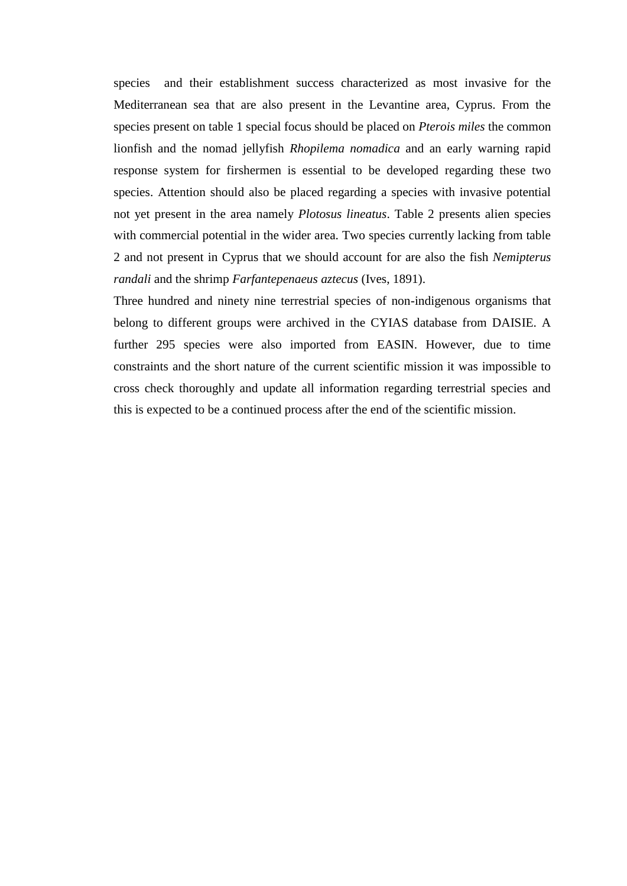species and their establishment success characterized as most invasive for the Mediterranean sea that are also present in the Levantine area, Cyprus. From the species present on table 1 special focus should be placed on *Pterois miles* the common lionfish and the nomad jellyfish *Rhopilema nomadica* and an early warning rapid response system for firshermen is essential to be developed regarding these two species. Attention should also be placed regarding a species with invasive potential not yet present in the area namely *Plotosus lineatus*. Table 2 presents alien species with commercial potential in the wider area. Two species currently lacking from table 2 and not present in Cyprus that we should account for are also the fish *Nemipterus randali* and the shrimp *Farfantepenaeus aztecus* (Ives, 1891).

Three hundred and ninety nine terrestrial species of non-indigenous organisms that belong to different groups were archived in the CYIAS database from DAISIE. A further 295 species were also imported from EASIN. However, due to time constraints and the short nature of the current scientific mission it was impossible to cross check thoroughly and update all information regarding terrestrial species and this is expected to be a continued process after the end of the scientific mission.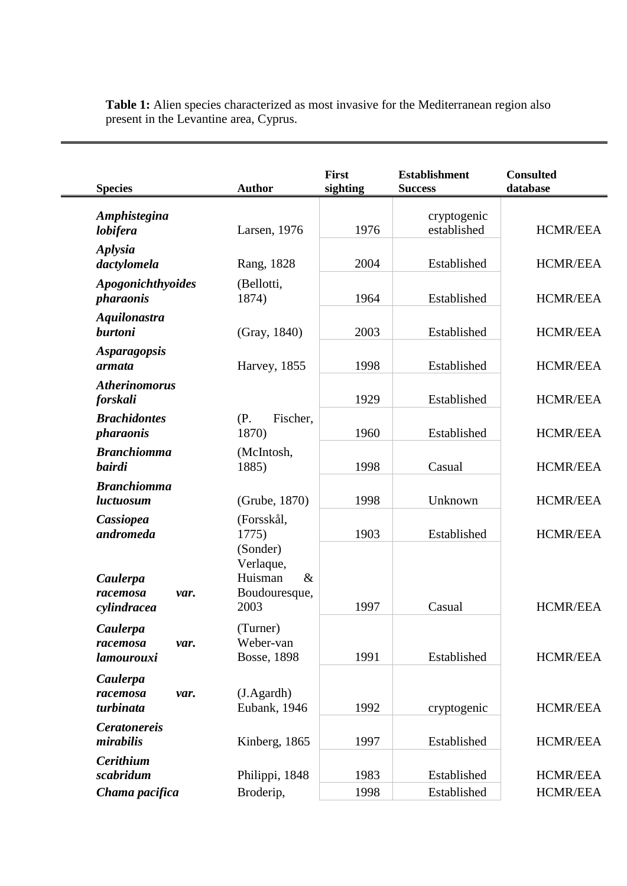| <b>Species</b>                              | <b>Author</b>                                         | First<br>sighting | <b>Establishment</b><br><b>Success</b> | <b>Consulted</b><br>database |
|---------------------------------------------|-------------------------------------------------------|-------------------|----------------------------------------|------------------------------|
| Amphistegina<br>lobifera                    | Larsen, 1976                                          | 1976              | cryptogenic<br>established             | <b>HCMR/EEA</b>              |
| <b>Aplysia</b><br>dactylomela               | Rang, 1828                                            | 2004              | Established                            | <b>HCMR/EEA</b>              |
| Apogonichthyoides<br><i>pharaonis</i>       | (Bellotti,<br>1874)                                   | 1964              | Established                            | <b>HCMR/EEA</b>              |
| <b>Aquilonastra</b><br><b>burtoni</b>       | (Gray, 1840)                                          | 2003              | Established                            | <b>HCMR/EEA</b>              |
| <i><b>Asparagopsis</b></i><br>armata        | Harvey, 1855                                          | 1998              | Established                            | <b>HCMR/EEA</b>              |
| <b>Atherinomorus</b><br><i>forskali</i>     |                                                       | 1929              | Established                            | <b>HCMR/EEA</b>              |
| <b>Brachidontes</b><br><i>pharaonis</i>     | (P.<br>Fischer,<br>1870)                              | 1960              | Established                            | HCMR/EEA                     |
| <b>Branchiomma</b><br><b>bairdi</b>         | (McIntosh,<br>1885)                                   | 1998              | Casual                                 | <b>HCMR/EEA</b>              |
| <b>Branchiomma</b><br>luctuosum             | (Grube, 1870)                                         | 1998              | Unknown                                | <b>HCMR/EEA</b>              |
| Cassiopea<br>andromeda                      | (Forsskål,<br>1775)<br>(Sonder)                       | 1903              | Established                            | <b>HCMR/EEA</b>              |
| Caulerpa<br>racemosa<br>var.<br>cylindracea | Verlaque,<br>Huisman<br>$\&$<br>Boudouresque,<br>2003 | 1997              | Casual                                 | <b>HCMR/EEA</b>              |
| Caulerpa<br>racemosa<br>var.<br>lamourouxi  | (Turner)<br>Weber-van<br>Bosse, 1898                  | 1991              | Established                            | <b>HCMR/EEA</b>              |
| Caulerpa<br>racemosa<br>var.<br>turbinata   | $(J.A \text{gardh})$<br>Eubank, 1946                  | 1992              | cryptogenic                            | <b>HCMR/EEA</b>              |
| <b>Ceratonereis</b><br>mirabilis            | Kinberg, 1865                                         | 1997              | Established                            | <b>HCMR/EEA</b>              |
| <b>Cerithium</b><br>scabridum               | Philippi, 1848                                        | 1983              | Established                            | <b>HCMR/EEA</b>              |
| Chama pacifica                              | Broderip,                                             | 1998              | Established                            | <b>HCMR/EEA</b>              |

**Table 1:** Alien species characterized as most invasive for the Mediterranean region also present in the Levantine area, Cyprus.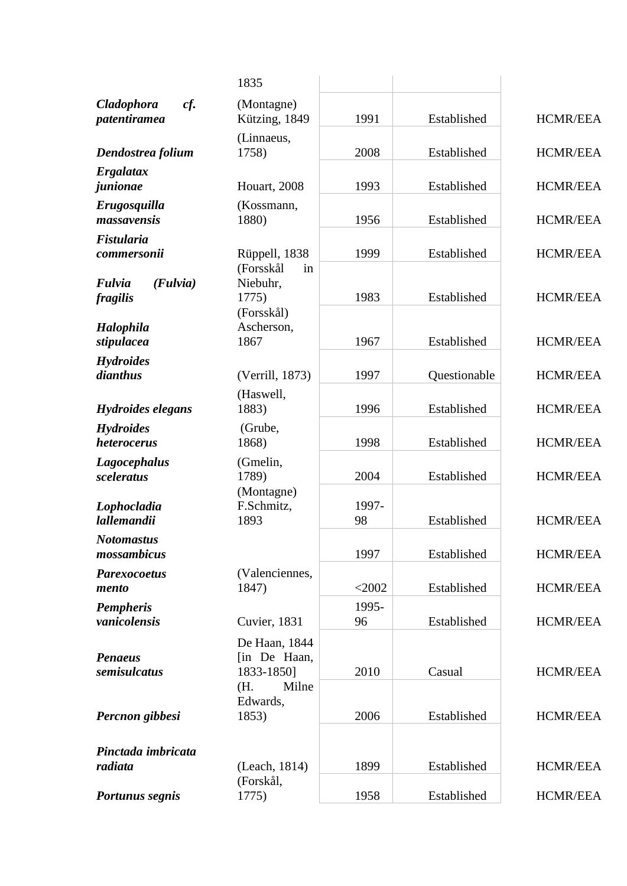|                                          | 1835                                                 |             |              |                 |
|------------------------------------------|------------------------------------------------------|-------------|--------------|-----------------|
| cf.<br><b>Cladophora</b><br>patentiramea | (Montagne)<br>Kützing, 1849                          | 1991        | Established  | <b>HCMR/EEA</b> |
| Dendostrea folium                        | (Linnaeus,<br>1758)                                  | 2008        | Established  | <b>HCMR/EEA</b> |
| Ergalatax                                |                                                      |             |              |                 |
| junionae                                 | Houart, 2008                                         | 1993        | Established  | <b>HCMR/EEA</b> |
| Erugosquilla<br>massavensis              | (Kossmann,<br>1880)                                  | 1956        | Established  | <b>HCMR/EEA</b> |
| Fistularia                               |                                                      |             |              |                 |
| commersonii                              | Rüppell, 1838<br>(Forsskål<br>in                     | 1999        | Established  | <b>HCMR/EEA</b> |
| Fulvia<br>(Fulvia)<br>fragilis           | Niebuhr,<br>1775)                                    | 1983        | Established  | <b>HCMR/EEA</b> |
| <b>Halophila</b><br>stipulacea           | (Forsskål)<br>Ascherson,<br>1867                     | 1967        | Established  | <b>HCMR/EEA</b> |
| <b>Hydroides</b>                         |                                                      |             |              |                 |
| dianthus                                 | (Verrill, 1873)                                      | 1997        | Questionable | <b>HCMR/EEA</b> |
| <b>Hydroides elegans</b>                 | (Haswell,<br>1883)                                   | 1996        | Established  | <b>HCMR/EEA</b> |
| <b>Hydroides</b><br>heterocerus          | (Grube,<br>1868)                                     | 1998        | Established  | <b>HCMR/EEA</b> |
| <b>Lagocephalus</b><br>sceleratus        | (Gmelin,<br>1789)                                    | 2004        | Established  | <b>HCMR/EEA</b> |
| Lophocladia<br><i>lallemandii</i>        | (Montagne)<br>F.Schmitz,<br>1893                     | 1997-<br>98 | Established  | <b>HCMR/EEA</b> |
| <b>Notomastus</b><br>mossambicus         |                                                      | 1997        | Established  | <b>HCMR/EEA</b> |
| <b>Parexocoetus</b><br>mento             | (Valenciennes,<br>1847)                              | $<$ 2002    | Established  | <b>HCMR/EEA</b> |
| <b>Pempheris</b><br>vanicolensis         | Cuvier, 1831                                         | 1995-<br>96 | Established  | <b>HCMR/EEA</b> |
| <b>Penaeus</b><br>semisulcatus           | De Haan, 1844<br>[in De Haan,<br>1833-1850]<br>Milne | 2010        | Casual       | <b>HCMR/EEA</b> |
| Percnon gibbesi                          | (H.<br>Edwards,<br>1853)                             | 2006        | Established  | <b>HCMR/EEA</b> |
| Pinctada imbricata                       |                                                      |             |              |                 |
| radiata                                  | (Leach, 1814)                                        | 1899        | Established  | <b>HCMR/EEA</b> |
| Portunus segnis                          | (Forskål,<br>1775)                                   | 1958        | Established  | <b>HCMR/EEA</b> |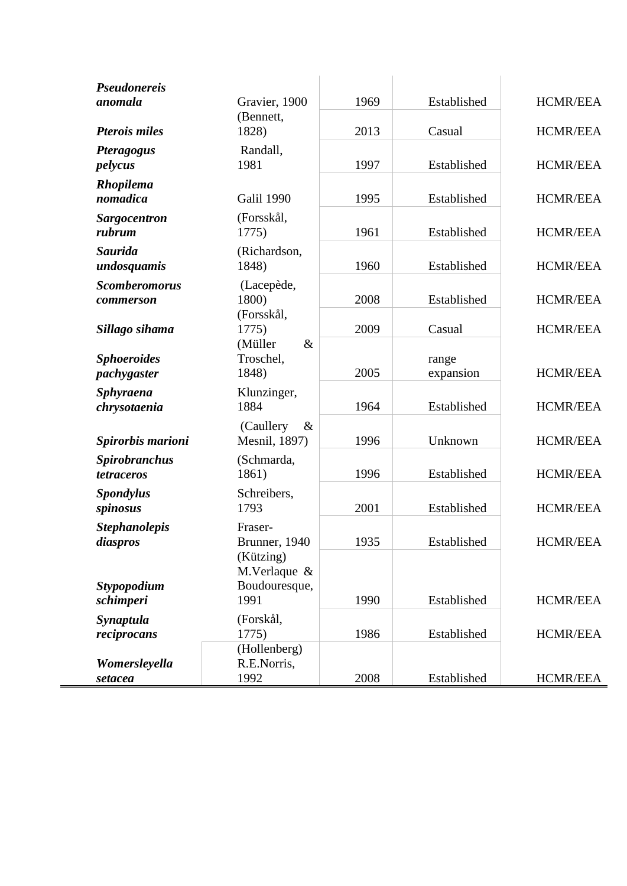| <b>Pseudonereis</b><br>anomala     | Gravier, 1900                          | 1969 | Established        | <b>HCMR/EEA</b> |
|------------------------------------|----------------------------------------|------|--------------------|-----------------|
| <b>Pterois miles</b>               | (Bennett,<br>1828)                     | 2013 | Casual             | HCMR/EEA        |
| <b>Pteragogus</b><br>pelycus       | Randall,<br>1981                       | 1997 | Established        | <b>HCMR/EEA</b> |
| Rhopilema<br>nomadica              | Galil 1990                             | 1995 | Established        | <b>HCMR/EEA</b> |
| <b>Sargocentron</b><br>rubrum      | (Forsskål,<br>1775)                    | 1961 | Established        | <b>HCMR/EEA</b> |
| <b>Saurida</b><br>undosquamis      | (Richardson,<br>1848)                  | 1960 | Established        | <b>HCMR/EEA</b> |
| <b>Scomberomorus</b><br>commerson  | (Lacepède,<br>1800)                    | 2008 | Established        | <b>HCMR/EEA</b> |
| Sillago sihama                     | (Forsskål,<br>1775)<br>(Müller<br>$\&$ | 2009 | Casual             | <b>HCMR/EEA</b> |
| <b>Sphoeroides</b><br>pachygaster  | Troschel,<br>1848)                     | 2005 | range<br>expansion | <b>HCMR/EEA</b> |
| <b>Sphyraena</b><br>chrysotaenia   | Klunzinger,<br>1884                    | 1964 | Established        | <b>HCMR/EEA</b> |
| Spirorbis marioni                  | (Caullery)<br>$\&$<br>Mesnil, 1897)    | 1996 | Unknown            | <b>HCMR/EEA</b> |
| <b>Spirobranchus</b><br>tetraceros | (Schmarda,<br>1861)                    | 1996 | Established        | <b>HCMR/EEA</b> |
| <b>Spondylus</b><br>spinosus       | Schreibers,<br>1793                    | 2001 | Established        | <b>HCMR/EEA</b> |
| <b>Stephanolepis</b><br>diaspros   | Fraser-<br>Brunner, 1940<br>(Kützing)  | 1935 | Established        | <b>HCMR/EEA</b> |
| Stypopodium<br>schimperi           | M.Verlaque &<br>Boudouresque,<br>1991  | 1990 | Established        | <b>HCMR/EEA</b> |
| Synaptula<br>reciprocans           | (Forskål,<br>1775)                     | 1986 | Established        | <b>HCMR/EEA</b> |
| Womersleyella<br>setacea           | (Hollenberg)<br>R.E.Norris,<br>1992    | 2008 | Established        | <b>HCMR/EEA</b> |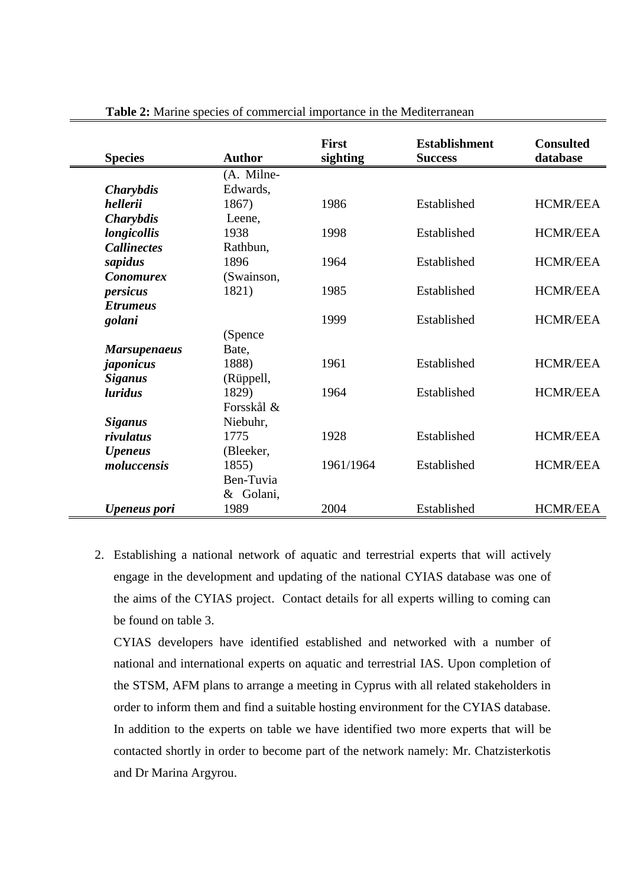| <b>Species</b>      | <b>Author</b> | <b>First</b><br>sighting | <b>Establishment</b><br><b>Success</b> | <b>Consulted</b><br>database |
|---------------------|---------------|--------------------------|----------------------------------------|------------------------------|
|                     | (A. Milne-    |                          |                                        |                              |
| <b>Charybdis</b>    | Edwards,      |                          |                                        |                              |
| hellerii            | 1867)         | 1986                     | Established                            | <b>HCMR/EEA</b>              |
| <b>Charybdis</b>    | Leene,        |                          |                                        |                              |
| longicollis         | 1938          | 1998                     | Established                            | <b>HCMR/EEA</b>              |
| <b>Callinectes</b>  | Rathbun,      |                          |                                        |                              |
| sapidus             | 1896          | 1964                     | Established                            | <b>HCMR/EEA</b>              |
| <b>Conomurex</b>    | (Swainson,    |                          |                                        |                              |
| persicus            | 1821)         | 1985                     | Established                            | <b>HCMR/EEA</b>              |
| <b>Etrumeus</b>     |               |                          |                                        |                              |
| golani              |               | 1999                     | Established                            | <b>HCMR/EEA</b>              |
|                     | (Spence)      |                          |                                        |                              |
| <b>Marsupenaeus</b> | Bate,         |                          |                                        |                              |
| japonicus           | 1888)         | 1961                     | Established                            | <b>HCMR/EEA</b>              |
| <b>Siganus</b>      | (Rüppell,     |                          |                                        |                              |
| <i>luridus</i>      | 1829)         | 1964                     | Established                            | <b>HCMR/EEA</b>              |
|                     | Forsskål &    |                          |                                        |                              |
| <b>Siganus</b>      | Niebuhr,      |                          |                                        |                              |
| rivulatus           | 1775          | 1928                     | Established                            | <b>HCMR/EEA</b>              |
| <b>Upeneus</b>      | (Bleeker,     |                          |                                        |                              |
| moluccensis         | 1855)         | 1961/1964                | Established                            | <b>HCMR/EEA</b>              |
|                     | Ben-Tuvia     |                          |                                        |                              |
|                     | & Golani,     |                          |                                        |                              |
| <b>Upeneus</b> pori | 1989          | 2004                     | Established                            | <b>HCMR/EEA</b>              |

**Table 2:** Marine species of commercial importance in the Mediterranean

2. Establishing a national network of aquatic and terrestrial experts that will actively engage in the development and updating of the national CYIAS database was one of the aims of the CYIAS project. Contact details for all experts willing to coming can be found on table 3.

CYIAS developers have identified established and networked with a number of national and international experts on aquatic and terrestrial IAS. Upon completion of the STSM, AFM plans to arrange a meeting in Cyprus with all related stakeholders in order to inform them and find a suitable hosting environment for the CYIAS database. In addition to the experts on table we have identified two more experts that will be contacted shortly in order to become part of the network namely: Mr. Chatzisterkotis and Dr Marina Argyrou.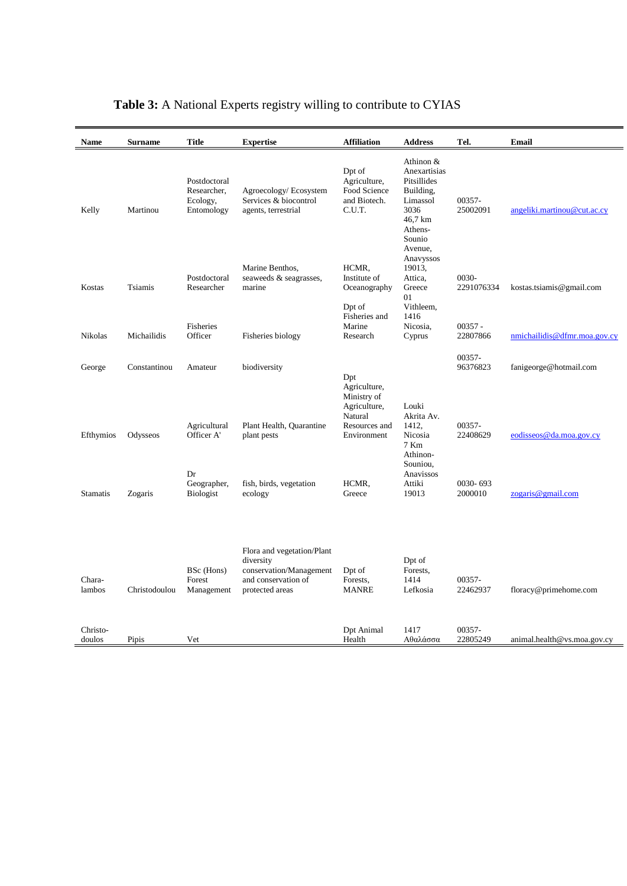| Name               | <b>Surname</b> | <b>Title</b>                                          | <b>Expertise</b>                                                                                             | <b>Affiliation</b>                                               | <b>Address</b>                                                                                            | Tel.                  | Email                        |
|--------------------|----------------|-------------------------------------------------------|--------------------------------------------------------------------------------------------------------------|------------------------------------------------------------------|-----------------------------------------------------------------------------------------------------------|-----------------------|------------------------------|
| Kelly              | Martinou       | Postdoctoral<br>Researcher,<br>Ecology,<br>Entomology | Agroecology/Ecosystem<br>Services & biocontrol<br>agents, terrestrial                                        | Dpt of<br>Agriculture,<br>Food Science<br>and Biotech.<br>C.U.T. | Athinon &<br>Anexartisias<br>Pitsillides<br>Building,<br>Limassol<br>3036<br>46,7 km<br>Athens-<br>Sounio | 00357-<br>25002091    | angeliki.martinou@cut.ac.cy  |
| Kostas             | Tsiamis        | Postdoctoral<br>Researcher                            | Marine Benthos,<br>seaweeds & seagrasses,<br>marine                                                          | HCMR.<br>Institute of<br>Oceanography                            | Avenue,<br>Anavyssos<br>19013,<br>Attica,<br>Greece<br>01                                                 | 0030-<br>2291076334   | kostas.tsiamis@gmail.com     |
| Nikolas            | Michailidis    | Fisheries<br>Officer                                  | Fisheries biology                                                                                            | Dpt of<br>Fisheries and<br>Marine<br>Research                    | Vithleem,<br>1416<br>Nicosia,<br>Cyprus                                                                   | $00357 -$<br>22807866 | nmichailidis@dfmr.moa.gov.cy |
| George             | Constantinou   | Amateur                                               | biodiversity                                                                                                 | Dpt<br>Agriculture,<br>Ministry of                               |                                                                                                           | 00357-<br>96376823    | fanigeorge@hotmail.com       |
| Efthymios          | Odysseos       | Agricultural<br>Officer A'                            | Plant Health, Quarantine<br>plant pests                                                                      | Agriculture,<br>Natural<br>Resources and<br>Environment          | Louki<br>Akrita Av.<br>1412,<br>Nicosia<br>7 Km<br>Athinon-                                               | 00357-<br>22408629    | eodisseos@da.moa.gov.cy      |
| <b>Stamatis</b>    | Zogaris        | Dr<br>Geographer,<br><b>Biologist</b>                 | fish, birds, vegetation<br>ecology                                                                           | HCMR,<br>Greece                                                  | Souniou,<br>Anavissos<br>Attiki<br>19013                                                                  | 0030-693<br>2000010   | zogaris@gmail.com            |
| Chara-<br>lambos   | Christodoulou  | BSc (Hons)<br>Forest<br>Management                    | Flora and vegetation/Plant<br>diversity<br>conservation/Management<br>and conservation of<br>protected areas | Dpt of<br>Forests.<br><b>MANRE</b>                               | Dpt of<br>Forests,<br>1414<br>Lefkosia                                                                    | 00357-<br>22462937    | floracy@primehome.com        |
| Christo-<br>doulos | Pipis          | Vet                                                   |                                                                                                              | Dpt Animal<br>Health                                             | 1417<br>Αθαλάσσα                                                                                          | 00357-<br>22805249    | animal.headth@vs.moa.gov.cy  |

# **Table 3:** A National Experts registry willing to contribute to CYIAS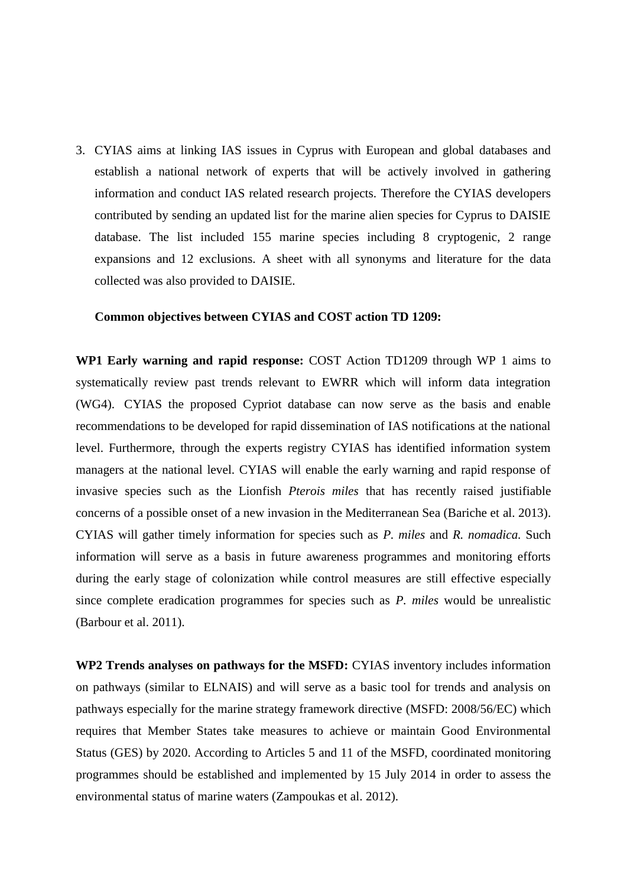3. CYIAS aims at linking IAS issues in Cyprus with European and global databases and establish a national network of experts that will be actively involved in gathering information and conduct IAS related research projects. Therefore the CYIAS developers contributed by sending an updated list for the marine alien species for Cyprus to DAISIE database. The list included 155 marine species including 8 cryptogenic, 2 range expansions and 12 exclusions. A sheet with all synonyms and literature for the data collected was also provided to DAISIE.

#### **Common objectives between CYIAS and COST action TD 1209:**

**WP1 Early warning and rapid response:** COST Action TD1209 through WP 1 aims to systematically review past trends relevant to EWRR which will inform data integration (WG4). CYIAS the proposed Cypriot database can now serve as the basis and enable recommendations to be developed for rapid dissemination of IAS notifications at the national level. Furthermore, through the experts registry CYIAS has identified information system managers at the national level. CYIAS will enable the early warning and rapid response of invasive species such as the Lionfish *Pterois miles* that has recently raised justifiable concerns of a possible onset of a new invasion in the Mediterranean Sea (Bariche et al. 2013). CYIAS will gather timely information for species such as *P. miles* and *R. nomadica.* Such information will serve as a basis in future awareness programmes and monitoring efforts during the early stage of colonization while control measures are still effective especially since complete eradication programmes for species such as *P. miles* would be unrealistic (Barbour et al. 2011).

**WP2 Trends analyses on pathways for the MSFD:** CYIAS inventory includes information on pathways (similar to ELNAIS) and will serve as a basic tool for trends and analysis on pathways especially for the marine strategy framework directive (MSFD: 2008/56/EC) which requires that Member States take measures to achieve or maintain Good Environmental Status (GES) by 2020. According to Articles 5 and 11 of the MSFD, coordinated monitoring programmes should be established and implemented by 15 July 2014 in order to assess the environmental status of marine waters (Zampoukas et al. 2012).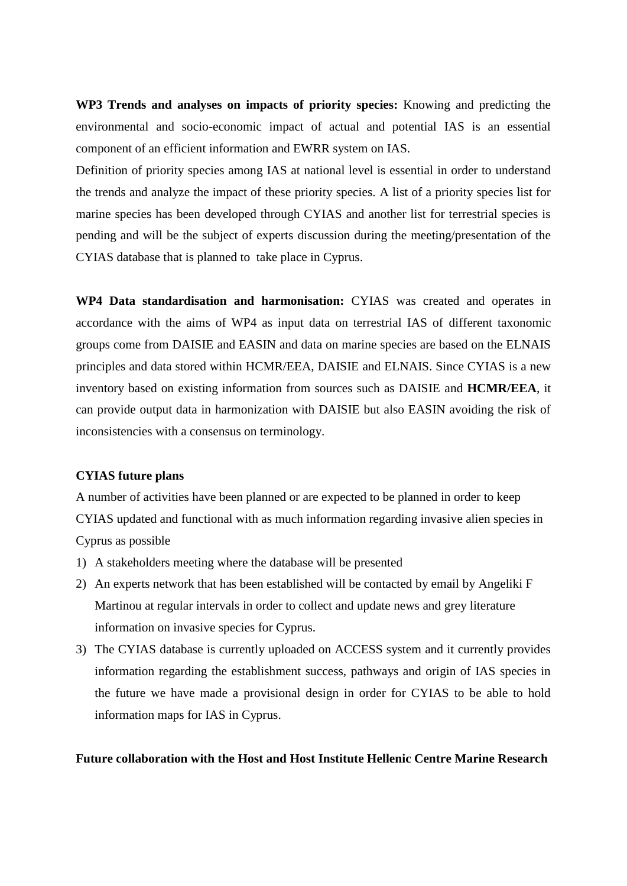**WP3 Trends and analyses on impacts of priority species:** Knowing and predicting the environmental and socio-economic impact of actual and potential IAS is an essential component of an efficient information and EWRR system on IAS.

Definition of priority species among IAS at national level is essential in order to understand the trends and analyze the impact of these priority species. A list of a priority species list for marine species has been developed through CYIAS and another list for terrestrial species is pending and will be the subject of experts discussion during the meeting/presentation of the CYIAS database that is planned to take place in Cyprus.

**WP4 Data standardisation and harmonisation:** CYIAS was created and operates in accordance with the aims of WP4 as input data on terrestrial IAS of different taxonomic groups come from DAISIE and EASIN and data on marine species are based on the ELNAIS principles and data stored within HCMR/EEA, DAISIE and ELNAIS. Since CYIAS is a new inventory based on existing information from sources such as DAISIE and **HCMR/EEA**, it can provide output data in harmonization with DAISIE but also EASIN avoiding the risk of inconsistencies with a consensus on terminology.

#### **CYIAS future plans**

A number of activities have been planned or are expected to be planned in order to keep CYIAS updated and functional with as much information regarding invasive alien species in Cyprus as possible

- 1) A stakeholders meeting where the database will be presented
- 2) An experts network that has been established will be contacted by email by Angeliki F Martinou at regular intervals in order to collect and update news and grey literature information on invasive species for Cyprus.
- 3) The CYIAS database is currently uploaded on ACCESS system and it currently provides information regarding the establishment success, pathways and origin of IAS species in the future we have made a provisional design in order for CYIAS to be able to hold information maps for IAS in Cyprus.

#### **Future collaboration with the Host and Host Institute Hellenic Centre Marine Research**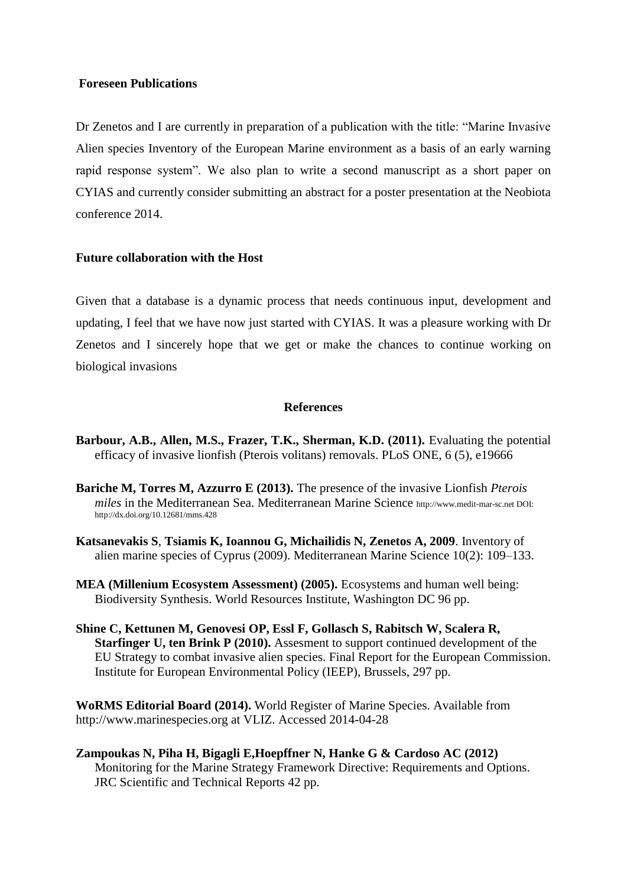#### **Foreseen Publications**

Dr Zenetos and I are currently in preparation of a publication with the title: "Marine Invasive Alien species Inventory of the European Marine environment as a basis of an early warning rapid response system". We also plan to write a second manuscript as a short paper on CYIAS and currently consider submitting an abstract for a poster presentation at the Neobiota conference 2014.

#### **Future collaboration with the Host**

Given that a database is a dynamic process that needs continuous input, development and updating, I feel that we have now just started with CYIAS. It was a pleasure working with Dr Zenetos and I sincerely hope that we get or make the chances to continue working on biological invasions

#### **References**

- **Barbour, A.B., Allen, M.S., Frazer, T.K., Sherman, K.D. (2011).** Evaluating the potential efficacy of invasive lionfish (Pterois volitans) removals. PLoS ONE, 6 (5), e19666
- **Bariche M, Torres M, Azzurro E (2013).** The presence of the invasive Lionfish *Pterois miles* in the Mediterranean Sea. Mediterranean Marine Science http://www.medit-mar-sc.net DOI: http://dx.doi.org/10.12681/mms.428
- **Katsanevakis S**, **Tsiamis K, Ioannou G, Michailidis N, Zenetos A, 2009**. Inventory of alien marine species of Cyprus (2009). Mediterranean Marine Science 10(2): 109–133.
- **MEA (Millenium Ecosystem Assessment) (2005).** Ecosystems and human well being: Biodiversity Synthesis. World Resources Institute, Washington DC 96 pp.
- **Shine C, Kettunen M, Genovesi OP, Essl F, Gollasch S, Rabitsch W, Scalera R, Starfinger U, ten Brink P (2010).** Assesment to support continued development of the EU Strategy to combat invasive alien species. Final Report for the European Commission. Institute for European Environmental Policy (IEEP), Brussels, 297 pp.

**[WoRMS Editorial Board](http://www.marinespecies.org/##) (2014).** World Register of Marine Species. Available from http://www.marinespecies.org at VLIZ. Accessed 2014-04-28

**Zampoukas N, Piha H, Bigagli E,Hoepffner N, Hanke G & Cardoso AC (2012)** Monitoring for the Marine Strategy Framework Directive: Requirements and Options. JRC Scientific and Technical Reports 42 pp.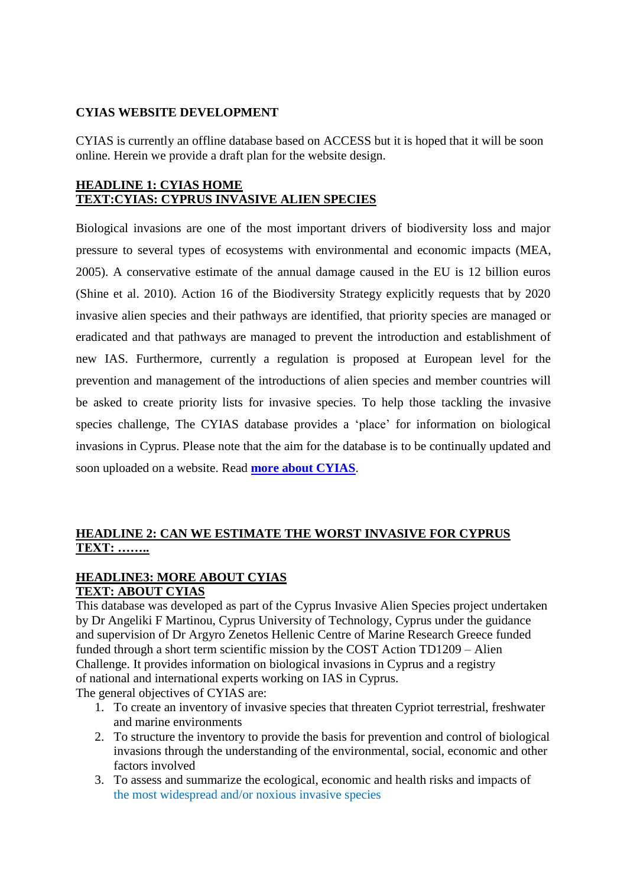#### **CYIAS WEBSITE DEVELOPMENT**

CYIAS is currently an offline database based on ACCESS but it is hoped that it will be soon online. Herein we provide a draft plan for the website design.

#### **HEADLINE 1: CYIAS HOME TEXT:CYIAS: CYPRUS INVASIVE ALIEN SPECIES**

Biological invasions are one of the most important drivers of biodiversity loss and major pressure to several types of ecosystems with environmental and economic impacts (MEA, 2005). A conservative estimate of the annual damage caused in the EU is 12 billion euros (Shine et al. 2010). Action 16 of the Biodiversity Strategy explicitly requests that by 2020 invasive alien species and their pathways are identified, that priority species are managed or eradicated and that pathways are managed to prevent the introduction and establishment of new IAS. Furthermore, currently a regulation is proposed at European level for the prevention and management of the introductions of alien species and member countries will be asked to create priority lists for invasive species. To help those tackling the invasive species challenge, The CYIAS database provides a 'place' for information on biological invasions in Cyprus. Please note that the aim for the database is to be continually updated and soon uploaded on a website. Read **[more about CYIAS](http://www.europe-aliens.org/aboutDAISIE.do)**.

### **HEADLINE 2: CAN WE ESTIMATE THE WORST INVASIVE FOR CYPRUS TEXT: ……..**

# **HEADLINE3: MORE ABOUT CYIAS**

**TEXT: ABOUT CYIAS**

This database was developed as part of the Cyprus Invasive Alien Species project undertaken by Dr Angeliki F Martinou, Cyprus University of Technology, Cyprus under the guidance and supervision of Dr Argyro Zenetos Hellenic Centre of Marine Research Greece funded funded through a short term scientific mission by the COST Action TD1209 – Alien Challenge. It provides information on biological invasions in Cyprus and a registry of national and international experts working on IAS in Cyprus. The general objectives of CYIAS are:

- 1. To create an inventory of invasive species that threaten Cypriot terrestrial, freshwater and marine environments
- 2. To structure the inventory to provide the basis for prevention and control of biological invasions through the understanding of the environmental, social, economic and other factors involved
- 3. To assess and summarize the ecological, economic and health risks and impacts of the [most widespread and/or noxious invasive species](http://www.europe-aliens.org/speciesTheWorst.do)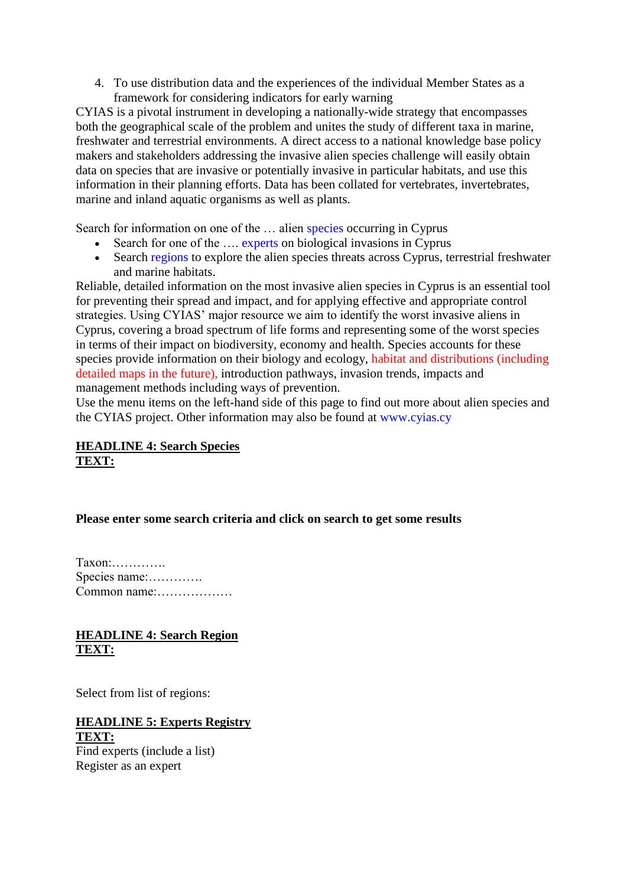4. To use distribution data and the experiences of the individual Member States as a framework for considering indicators for early warning

CYIAS is a pivotal instrument in developing a nationally-wide strategy that encompasses both the geographical scale of the problem and unites the study of different taxa in marine, freshwater and terrestrial environments. A direct access to a national knowledge base policy makers and stakeholders addressing the invasive alien species challenge will easily obtain data on species that are invasive or potentially invasive in particular habitats, and use this information in their planning efforts. Data has been collated for vertebrates, invertebrates, marine and inland aquatic organisms as well as plants.

Search for information on one of the ... alien [species](http://www.europe-aliens.org/speciesSearch.do) occurring in Cyprus

- Search for one of the …. [experts](http://www.europe-aliens.org/expertSearch.do) on biological invasions in Cyprus
- Search [regions](http://www.europe-aliens.org/regionSearch.do) to explore the alien species threats across Cyprus, terrestrial freshwater and marine habitats.

Reliable, detailed information on the most invasive alien species in Cyprus is an essential tool for preventing their spread and impact, and for applying effective and appropriate control strategies. Using CYIAS' major resource we aim to identify the worst invasive aliens in Cyprus, covering a broad spectrum of life forms and representing some of the worst species in terms of their impact on biodiversity, economy and health. Species accounts for these species provide information on their biology and ecology, habitat and distributions (including detailed maps in the future), introduction pathways, invasion trends, impacts and management methods including ways of prevention.

Use the menu items on the left-hand side of this page to find out more about alien species and the CYIAS project. Other information may also be found at [www.cyias.cy](http://www.daisie.se/)

#### **HEADLINE 4: Search Species TEXT:**

#### **Please enter some search criteria and click on search to get some results**

Taxon:…………. Species name:…………. Common name:………………

#### **HEADLINE 4: Search Region TEXT:**

Select from list of regions:

#### **HEADLINE 5: Experts Registry TEXT:**

Find experts (include a list) Register as an expert